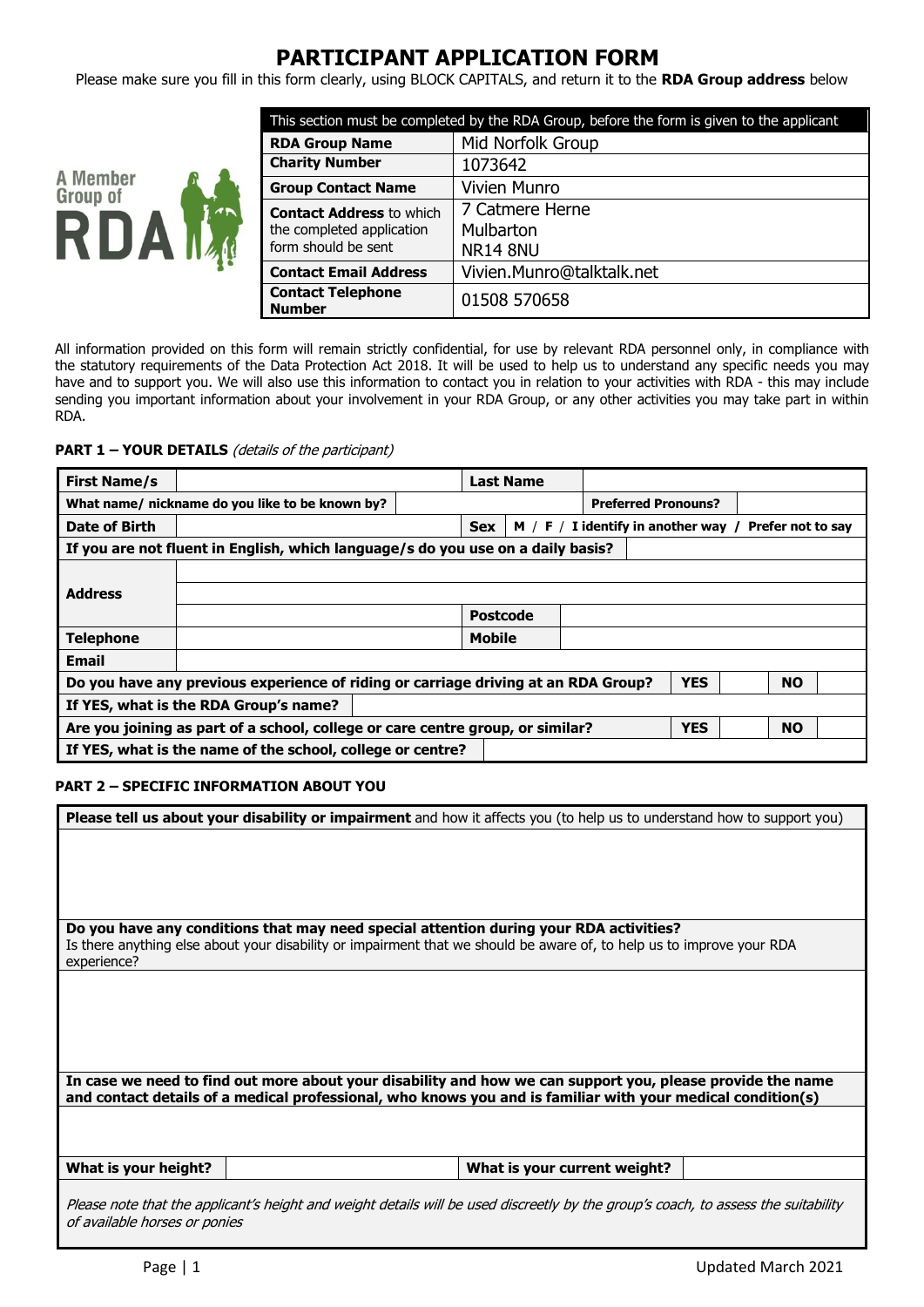# **PARTICIPANT APPLICATION FORM**

Please make sure you fill in this form clearly, using BLOCK CAPITALS, and return it to the **RDA Group address** below



| This section must be completed by the RDA Group, before the form is given to the applicant |                                                 |  |  |
|--------------------------------------------------------------------------------------------|-------------------------------------------------|--|--|
| <b>RDA Group Name</b>                                                                      | Mid Norfolk Group                               |  |  |
| <b>Charity Number</b>                                                                      | 1073642                                         |  |  |
| <b>Group Contact Name</b>                                                                  | <b>Vivien Munro</b>                             |  |  |
| <b>Contact Address to which</b><br>the completed application<br>form should be sent        | 7 Catmere Herne<br>Mulbarton<br><b>NR14 8NU</b> |  |  |
| <b>Contact Email Address</b>                                                               | Vivien.Munro@talktalk.net                       |  |  |
| <b>Contact Telephone</b><br><b>Number</b>                                                  | 01508 570658                                    |  |  |

All information provided on this form will remain strictly confidential, for use by relevant RDA personnel only, in compliance with the statutory requirements of the Data Protection Act 2018. It will be used to help us to understand any specific needs you may have and to support you. We will also use this information to contact you in relation to your activities with RDA - this may include sending you important information about your involvement in your RDA Group, or any other activities you may take part in within RDA.

**PART 1 – YOUR DETAILS** (details of the participant)

| <b>First Name/s</b>                                                                                           |                                                 |  | <b>Last Name</b> |                                       |                   |
|---------------------------------------------------------------------------------------------------------------|-------------------------------------------------|--|------------------|---------------------------------------|-------------------|
|                                                                                                               | What name/ nickname do you like to be known by? |  |                  | <b>Preferred Pronouns?</b>            |                   |
| Date of Birth                                                                                                 |                                                 |  | <b>Sex</b>       | $M / F / I$ identify in another way / | Prefer not to say |
| If you are not fluent in English, which language/s do you use on a daily basis?                               |                                                 |  |                  |                                       |                   |
|                                                                                                               |                                                 |  |                  |                                       |                   |
| <b>Address</b>                                                                                                |                                                 |  |                  |                                       |                   |
|                                                                                                               |                                                 |  | <b>Postcode</b>  |                                       |                   |
| <b>Telephone</b>                                                                                              |                                                 |  | <b>Mobile</b>    |                                       |                   |
| <b>Email</b>                                                                                                  |                                                 |  |                  |                                       |                   |
| <b>YES</b><br><b>NO</b><br>Do you have any previous experience of riding or carriage driving at an RDA Group? |                                                 |  |                  |                                       |                   |
| If YES, what is the RDA Group's name?                                                                         |                                                 |  |                  |                                       |                   |
| <b>YES</b><br><b>NO</b><br>Are you joining as part of a school, college or care centre group, or similar?     |                                                 |  |                  |                                       |                   |
| If YES, what is the name of the school, college or centre?                                                    |                                                 |  |                  |                                       |                   |

## **PART 2 – SPECIFIC INFORMATION ABOUT YOU**

| Please tell us about your disability or impairment and how it affects you (to help us to understand how to support you)            |                              |  |
|------------------------------------------------------------------------------------------------------------------------------------|------------------------------|--|
|                                                                                                                                    |                              |  |
|                                                                                                                                    |                              |  |
|                                                                                                                                    |                              |  |
|                                                                                                                                    |                              |  |
|                                                                                                                                    |                              |  |
|                                                                                                                                    |                              |  |
|                                                                                                                                    |                              |  |
| Do you have any conditions that may need special attention during your RDA activities?                                             |                              |  |
|                                                                                                                                    |                              |  |
| Is there anything else about your disability or impairment that we should be aware of, to help us to improve your RDA              |                              |  |
| experience?                                                                                                                        |                              |  |
|                                                                                                                                    |                              |  |
|                                                                                                                                    |                              |  |
|                                                                                                                                    |                              |  |
|                                                                                                                                    |                              |  |
|                                                                                                                                    |                              |  |
|                                                                                                                                    |                              |  |
|                                                                                                                                    |                              |  |
|                                                                                                                                    |                              |  |
| In case we need to find out more about your disability and how we can support you, please provide the name                         |                              |  |
| and contact details of a medical professional, who knows you and is familiar with your medical condition(s)                        |                              |  |
|                                                                                                                                    |                              |  |
|                                                                                                                                    |                              |  |
|                                                                                                                                    |                              |  |
|                                                                                                                                    |                              |  |
|                                                                                                                                    |                              |  |
| What is your height?                                                                                                               | What is your current weight? |  |
|                                                                                                                                    |                              |  |
|                                                                                                                                    |                              |  |
| Please note that the applicant's height and weight details will be used discreetly by the group's coach, to assess the suitability |                              |  |
| of available horses or ponies                                                                                                      |                              |  |
|                                                                                                                                    |                              |  |